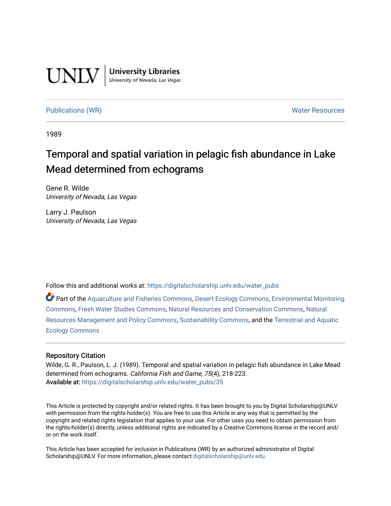

**University Libraries**<br>University of Nevada, Las Vegas

[Publications \(WR\)](https://digitalscholarship.unlv.edu/water_pubs) Noter Resources

1989

# Temporal and spatial variation in pelagic fish abundance in Lake Mead determined from echograms

Gene R. Wilde University of Nevada, Las Vegas

Larry J. Paulson University of Nevada, Las Vegas

Follow this and additional works at: [https://digitalscholarship.unlv.edu/water\\_pubs](https://digitalscholarship.unlv.edu/water_pubs?utm_source=digitalscholarship.unlv.edu%2Fwater_pubs%2F35&utm_medium=PDF&utm_campaign=PDFCoverPages) 

Part of the [Aquaculture and Fisheries Commons](http://network.bepress.com/hgg/discipline/78?utm_source=digitalscholarship.unlv.edu%2Fwater_pubs%2F35&utm_medium=PDF&utm_campaign=PDFCoverPages), [Desert Ecology Commons,](http://network.bepress.com/hgg/discipline/1261?utm_source=digitalscholarship.unlv.edu%2Fwater_pubs%2F35&utm_medium=PDF&utm_campaign=PDFCoverPages) [Environmental Monitoring](http://network.bepress.com/hgg/discipline/931?utm_source=digitalscholarship.unlv.edu%2Fwater_pubs%2F35&utm_medium=PDF&utm_campaign=PDFCoverPages)  [Commons](http://network.bepress.com/hgg/discipline/931?utm_source=digitalscholarship.unlv.edu%2Fwater_pubs%2F35&utm_medium=PDF&utm_campaign=PDFCoverPages), [Fresh Water Studies Commons](http://network.bepress.com/hgg/discipline/189?utm_source=digitalscholarship.unlv.edu%2Fwater_pubs%2F35&utm_medium=PDF&utm_campaign=PDFCoverPages), [Natural Resources and Conservation Commons](http://network.bepress.com/hgg/discipline/168?utm_source=digitalscholarship.unlv.edu%2Fwater_pubs%2F35&utm_medium=PDF&utm_campaign=PDFCoverPages), [Natural](http://network.bepress.com/hgg/discipline/170?utm_source=digitalscholarship.unlv.edu%2Fwater_pubs%2F35&utm_medium=PDF&utm_campaign=PDFCoverPages)  [Resources Management and Policy Commons](http://network.bepress.com/hgg/discipline/170?utm_source=digitalscholarship.unlv.edu%2Fwater_pubs%2F35&utm_medium=PDF&utm_campaign=PDFCoverPages), [Sustainability Commons,](http://network.bepress.com/hgg/discipline/1031?utm_source=digitalscholarship.unlv.edu%2Fwater_pubs%2F35&utm_medium=PDF&utm_campaign=PDFCoverPages) and the [Terrestrial and Aquatic](http://network.bepress.com/hgg/discipline/20?utm_source=digitalscholarship.unlv.edu%2Fwater_pubs%2F35&utm_medium=PDF&utm_campaign=PDFCoverPages) [Ecology Commons](http://network.bepress.com/hgg/discipline/20?utm_source=digitalscholarship.unlv.edu%2Fwater_pubs%2F35&utm_medium=PDF&utm_campaign=PDFCoverPages) 

# Repository Citation

Wilde, G. R., Paulson, L. J. (1989). Temporal and spatial variation in pelagic fish abundance in Lake Mead determined from echograms. California Fish and Game, 75(4), 218-223. Available at: [https://digitalscholarship.unlv.edu/water\\_pubs/35](https://digitalscholarship.unlv.edu/water_pubs/35) 

This Article is protected by copyright and/or related rights. It has been brought to you by Digital Scholarship@UNLV with permission from the rights-holder(s). You are free to use this Article in any way that is permitted by the copyright and related rights legislation that applies to your use. For other uses you need to obtain permission from the rights-holder(s) directly, unless additional rights are indicated by a Creative Commons license in the record and/ or on the work itself.

This Article has been accepted for inclusion in Publications (WR) by an authorized administrator of Digital Scholarship@UNLV. For more information, please contact [digitalscholarship@unlv.edu.](mailto:digitalscholarship@unlv.edu)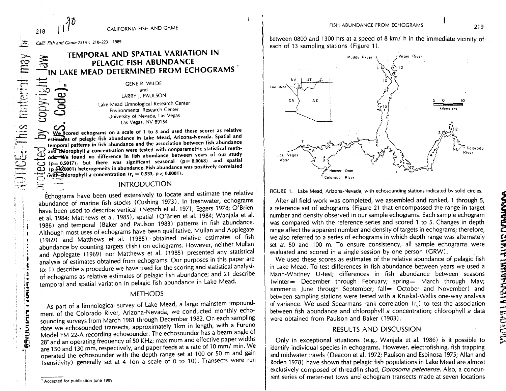**:'\*• Calif.** Fish and **Came** 75(4): 218-223 1989

218

r g **^**

**EXAMPLE:** This material may

PECISION PEC

ţ Ŝ

# **TEMPORAL AND SPATIAL VARIATION IN PELAGIC FISH ABUNDANCE IN LAKE MEAD DETERMINED FROM ECHOGRAMS<sup>1</sup>**

GENE R. WILDE and LARRY J. PAULSON Lake Mead Limnological Research Center and<br>LARRY J. PAULSON<br>Lake Mead Limnological Research Center<br>Environmental Research Center University of Nevada, Las Vegas Las Vegas, NV 89154

**OO We Scored echograms on a scale of 1 to 5 and used these scores as relative estimates of pelagic fish abundance in Lake Mead, Arizona-Nevada. Spatial and temporal patterns in fish abundance and the association between fish abundance anlrCMorophyll a concentration were tested with nonparametric statistical methodsr-We found no difference in fish abundance between years of our study**  $\bar{\mathbf{\Phi}}$  $(p= 0.5017)$ . but there was significant seasonal  $(p= 0.0068)$  and spatial **CJ>** (p 20:0001) heterogeneity in abundance. Fish abundance was positively correlated **CU with-chlorophyll a concentration (r, = 0.533, p < 0.0001). ""\*"""%**

## **INTRODUCTION**

Echograms have been used extensively to locate and estimate the relative abundance of marine fish stocks (Cushing 1973). In freshwater, echograms have been used to describe vertical (Netsch et al. 1971; Eggers 1978; O'Brien et al. 1984; Matthews et al. 1985), spatial (O'Brien et al. 1984; Wanjala et al. 1986) and temporal (Baker and Paulson 1983) patterns in fish abundance. Although most uses of echograms have been qualitative, Mullan and Applegate (1969) and Matthews et al. (1985) obtained relative estimates of fish abundance by counting targets (fish) on echograms. However, neither Mullan and Applegate (1969) nor Matthews et al. (1985) presented any statistical analysis of estimates obtained from echograms. Our purposes in this paper are to: 1) describe a procedure we have used for the scoring and statistical analysis of echograms as relative estimates of pelagic fish abundance; and 2) describe temporal and spatial variation in pelagic fish abundance in Lake Mead.

# **METHODS**

As part of a limnological survey of Lake Mead, a large mainstem impoundment of the Colorado River, Arizona-Nevada, we conducted monthly echosounding surveys from March 1981 through December 1982. On each sampling date we echosounded transects, approximately 1km in length, with a Furuno Model FM 22-A recording echosounder. The echosounder has a beam angle of 28° and an operating frequency of 50 KHz; maximum and effective paper widths are 150 and 130 mm, respectively, and paper feeds at a rate of 10 mm/ min. We operated the echosounder with the depth range set at 100 or 50 m and gain (sensitivity) generally set at 4 (on a scale of 0 to 10). Transects were run

between 0800 and 1300 hrs at a speed of 8 km/ h in the immediate vicinity of each of 13 sampling stations (Figure 1).



FIGURE 1. Lake Mead, Arizona-Nevada, with echosounding stations indicated by solid circles.

After all field work was completed, we assembled and ranked, 1 through 5, a reference set of echograms (Figure 2) that encompassed the range in target number and density observed in our sample echograms. Each sample echogram was compared with the reference series and scored 1 to 5. Changes in depth range affect the apparent number and density of targets in echograms; therefore, we also referred to a series of echograms in which depth range was alternately set at 50 and 100 m. To ensure consistency, all sample echograms were evaluated and scored in a single session by one person (GRW).

We used these scores as estimates of the relative abundance of pelagic fish in Lake Mead. To test differences in fish abundance between years we used a Mann-Whitney U-test; differences in fish abundance between seasons (winter= December through February; spring= March through May; summer $=$  lune through September; fall  $=$  October and November) and between sampling stations were tested with a Kruskal-Wallis one-way analysis of variance. We used Spearmans rank correlation  $(r<sub>s</sub>)$  to test the association between fish abundance and chlorophyll a concentration; chlorophyll a data were obtained from Paulson and Baker (1983).

# RESULTS AND DISCUSSION -

Only in exceptional situations (e.g., Wanjala et al. 1986) is it possible to identify individual species in echograms. However, electrofishing, fish trapping and midwater trawls (Deacon et al. 1972; Paulson and Espinosa 1975; Allan and Roden 1978) have shown that pelagic fish populations in Lake Mead are almost exclusively composed of threadfin shad, Dorosoma petenense. Also, a concurrent series of meter-net tows and echogram transects made at seven locations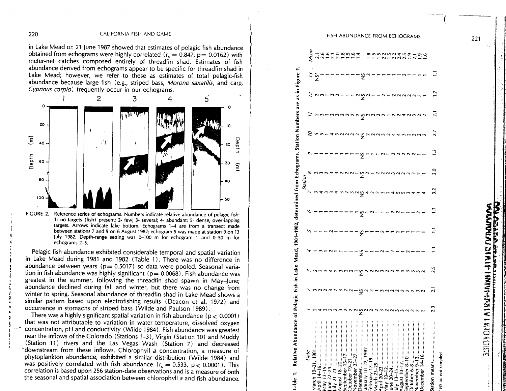#### 220 CALIFORNIA FISH AND GAME

in Lake Mead on 21 June 1987 showed that estimates of pelagic fish abundance obtained from echograms were highly correlated ( $r_s = 0.847$ ,  $p = 0.0162$ ) with meter-net catches composed entirely of threadfin shad. Estimates of fish abundance derived from echograms appear to be specific for threadfin shad in Lake Mead; however, we refer to these as estimates of total pelagic-fish abundance because large fish (e.g., striped bass, Morone saxatilis, and carp,



**1- no targets (fish) present; 2- few; 3- several; 4- abundant; 5- dense, over-lapping targets. Arrows indicate lake bottom. Echograms 1-4 are from a transect made between stations 7 and 9 on 6 August 1982; echogram 5 was made at station 9 on 13 July 1982. Depth-range setting was 0-100 m for echogram 1 and 0-50 m for echograms 2-5.**

Pelagic fish abundance exhibited considerable temporal and spatial variation in Lake Mead during 1981 and 1982 (Table 1). There was no difference in abundance between years ( $p = 0.5017$ ) so data were pooled. Seasonal variation in fish abundance was highly significant ( $p= 0.0068$ ). Fish abundance was greatest in the summer, following the threadfin shad spawn in May-June; abundance declined during fall and winter, but there was no change from winter to spring. Seasonal abundance of threadfin shad in Lake Mead shows a similar pattern based upon electrofishing results (Deacon et al. 1972) and occurrence in stomachs of striped bass (Wilde and Paulson 1989).

There was a highly significant spatial variation in fish abundance ( $p < 0.0001$ ) that was not attributable to variation in water temperature, dissolved oxygen concentration, pH and conductivity (Wilde 1984). Fish abundance was greatest near the inflows of the Colorado (Stations 1-3), Virgin (Station 10) and Muddy (Station 11) rivers and the Las Vegas Wash (Station 7) and decreased "downstream from these inflows. Chlorophyll a concentration, a measure of phytoplankton abundance, exhibited a similar distribution (Wilde 1984) and was positively correlated with fish abundance ( $r_s = 0.533$ ,  $p < 0.0001$ ). This correlation is based upon 256 station-date observations and is a measure of both the seasonal and spatial association between chlorophyll a and fish abundance.

# FISH ABUNDANCE FROM ECHOGRAMS